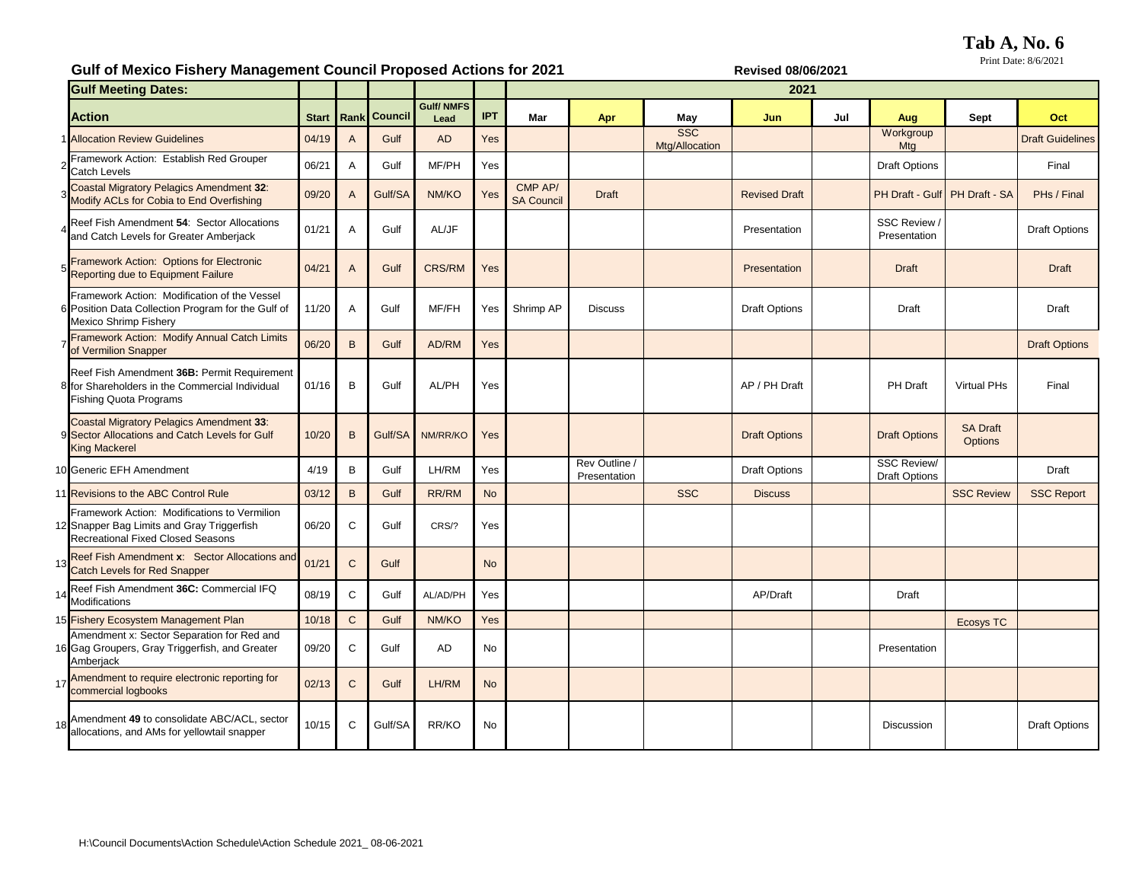**Tab A, No. 6**

Print Date: 8/6/2021

## Gulf of Mexico Fishery Management Council Proposed Actions for 2021

| <b>Gulf Meeting Dates:</b>                                                                                                             |              |              |                     |                          |            | oull of Mexico Fishery Management Council Froposed Actions for Zuz F<br>NGYISGU VOIVUIZUZ I<br>2021 |                               |                              |                      |     |                                            |                                   |                         |
|----------------------------------------------------------------------------------------------------------------------------------------|--------------|--------------|---------------------|--------------------------|------------|-----------------------------------------------------------------------------------------------------|-------------------------------|------------------------------|----------------------|-----|--------------------------------------------|-----------------------------------|-------------------------|
| <b>Action</b>                                                                                                                          | <b>Start</b> |              | <b>Rank Council</b> | <b>Gulf/NMFS</b><br>Lead | <b>IPT</b> | Mar                                                                                                 | Apr                           | <b>May</b>                   | Jun                  | Jul | Aug                                        | <b>Sept</b>                       | Oct                     |
| <b>Allocation Review Guidelines</b>                                                                                                    | 04/19        | $\mathsf{A}$ | Gulf                | <b>AD</b>                | <b>Yes</b> |                                                                                                     |                               | <b>SSC</b><br>Mtg/Allocation |                      |     | Workgroup<br>Mtg                           |                                   | <b>Draft Guidelines</b> |
| Framework Action: Establish Red Grouper<br><b>Catch Levels</b>                                                                         | 06/21        | A            | Gulf                | MF/PH                    | Yes        |                                                                                                     |                               |                              |                      |     | <b>Draft Options</b>                       |                                   | Final                   |
| <b>Coastal Migratory Pelagics Amendment 32:</b><br>Modify ACLs for Cobia to End Overfishing                                            | 09/20        | $\mathsf{A}$ | Gulf/SA             | NM/KO                    | Yes        | CMP AP/<br><b>SA Council</b>                                                                        | <b>Draft</b>                  |                              | <b>Revised Draft</b> |     | PH Draft - Gulf PH Draft - SA              |                                   | PHs / Final             |
| Reef Fish Amendment 54: Sector Allocations<br>and Catch Levels for Greater Amberjack                                                   | 01/21        | A            | Gulf                | AL/JF                    |            |                                                                                                     |                               |                              | Presentation         |     | SSC Review<br>Presentation                 |                                   | <b>Draft Options</b>    |
| Framework Action: Options for Electronic<br>Reporting due to Equipment Failure                                                         | 04/21        | $\mathsf{A}$ | Gulf                | <b>CRS/RM</b>            | Yes        |                                                                                                     |                               |                              | Presentation         |     | <b>Draft</b>                               |                                   | <b>Draft</b>            |
| Framework Action: Modification of the Vessel<br>6 Position Data Collection Program for the Gulf of<br><b>Mexico Shrimp Fishery</b>     | 11/20        | A            | Gulf                | MF/FH                    | Yes        | Shrimp AP                                                                                           | <b>Discuss</b>                |                              | <b>Draft Options</b> |     | Draft                                      |                                   | Draft                   |
| Framework Action: Modify Annual Catch Limits<br>of Vermilion Snapper                                                                   | 06/20        | $\mathsf{B}$ | Gulf                | AD/RM                    | Yes        |                                                                                                     |                               |                              |                      |     |                                            |                                   | <b>Draft Options</b>    |
| Reef Fish Amendment 36B: Permit Requirement<br>8 for Shareholders in the Commercial Individual<br><b>Fishing Quota Programs</b>        | 01/16        | B            | Gulf                | AL/PH                    | Yes        |                                                                                                     |                               |                              | AP / PH Draft        |     | PH Draft                                   | <b>Virtual PHs</b>                | Final                   |
| <b>Coastal Migratory Pelagics Amendment 33:</b><br>9 Sector Allocations and Catch Levels for Gulf<br><b>King Mackerel</b>              | 10/20        | $\mathsf{B}$ | Gulf/SA             | NM/RR/KO                 | Yes        |                                                                                                     |                               |                              | <b>Draft Options</b> |     | <b>Draft Options</b>                       | <b>SA Draft</b><br><b>Options</b> |                         |
| 10 Generic EFH Amendment                                                                                                               | 4/19         | $\mathsf B$  | Gulf                | LH/RM                    | Yes        |                                                                                                     | Rev Outline /<br>Presentation |                              | <b>Draft Options</b> |     | <b>SSC Review/</b><br><b>Draft Options</b> |                                   | Draft                   |
| 11 Revisions to the ABC Control Rule                                                                                                   | 03/12        | $\,$ B       | Gulf                | RR/RM                    | <b>No</b>  |                                                                                                     |                               | <b>SSC</b>                   | <b>Discuss</b>       |     |                                            | <b>SSC Review</b>                 | <b>SSC Report</b>       |
| Framework Action: Modifications to Vermilion<br>12 Snapper Bag Limits and Gray Triggerfish<br><b>Recreational Fixed Closed Seasons</b> | 06/20        | $\mathsf{C}$ | Gulf                | CRS/?                    | Yes        |                                                                                                     |                               |                              |                      |     |                                            |                                   |                         |
| 13 Reef Fish Amendment x: Sector Allocations and<br><b>Catch Levels for Red Snapper</b>                                                | 01/21        | $\mathsf{C}$ | Gulf                |                          | <b>No</b>  |                                                                                                     |                               |                              |                      |     |                                            |                                   |                         |
| Reef Fish Amendment 36C: Commercial IFQ<br>14<br>Modifications                                                                         | 08/19        | $\mathsf{C}$ | Gulf                | AL/AD/PH                 | Yes        |                                                                                                     |                               |                              | AP/Draft             |     | Draft                                      |                                   |                         |
| 15 Fishery Ecosystem Management Plan                                                                                                   | 10/18        | $\mathbf C$  | Gulf                | NM/KO                    | Yes        |                                                                                                     |                               |                              |                      |     |                                            | <b>Ecosys TC</b>                  |                         |
| Amendment x: Sector Separation for Red and<br>16 Gag Groupers, Gray Triggerfish, and Greater<br>Amberjack                              | 09/20        | $\mathsf{C}$ | Gulf                | AD                       | No         |                                                                                                     |                               |                              |                      |     | Presentation                               |                                   |                         |
| Amendment to require electronic reporting for<br>17<br>commercial logbooks                                                             | 02/13        | $\mathbf C$  | Gulf                | LH/RM                    | <b>No</b>  |                                                                                                     |                               |                              |                      |     |                                            |                                   |                         |
| Amendment 49 to consolidate ABC/ACL, sector<br>18<br>allocations, and AMs for yellowtail snapper                                       | 10/15        | $\mathbf C$  | Gulf/SA             | RR/KO                    | No         |                                                                                                     |                               |                              |                      |     | <b>Discussion</b>                          |                                   | <b>Draft Options</b>    |